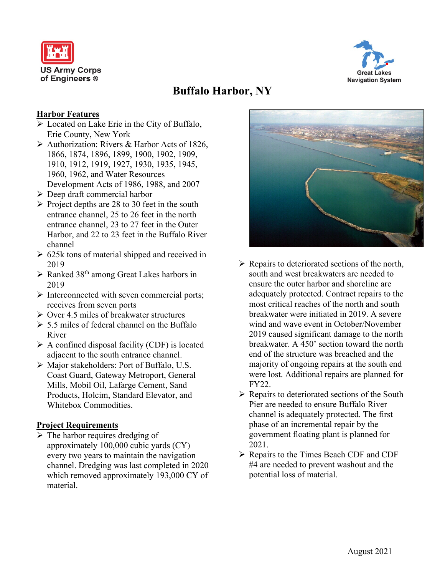



# **Buffalo Harbor, NY**

## **Harbor Features**

- **Example 2** Located on Lake Erie in the City of Buffalo, Erie County, New York
- Authorization: Rivers & Harbor Acts of 1826, 1866, 1874, 1896, 1899, 1900, 1902, 1909, 1910, 1912, 1919, 1927, 1930, 1935, 1945, 1960, 1962, and Water Resources Development Acts of 1986, 1988, and 2007
- $\triangleright$  Deep draft commercial harbor
- $\triangleright$  Project depths are 28 to 30 feet in the south entrance channel, 25 to 26 feet in the north entrance channel, 23 to 27 feet in the Outer Harbor, and 22 to 23 feet in the Buffalo River channel
- $\geq 625k$  tons of material shipped and received in 2019
- $\triangleright$  Ranked 38<sup>th</sup> among Great Lakes harbors in 2019
- $\triangleright$  Interconnected with seven commercial ports; receives from seven ports
- $\triangleright$  Over 4.5 miles of breakwater structures
- $\geq 5.5$  miles of federal channel on the Buffalo River
- $\triangleright$  A confined disposal facility (CDF) is located adjacent to the south entrance channel.
- Major stakeholders: Port of Buffalo, U.S. Coast Guard, Gateway Metroport, General Mills, Mobil Oil, Lafarge Cement, Sand Products, Holcim, Standard Elevator, and Whitebox Commodities.

#### **Project Requirements**

 $\triangleright$  The harbor requires dredging of approximately 100,000 cubic yards (CY) every two years to maintain the navigation channel. Dredging was last completed in 2020 which removed approximately 193,000 CY of material.



- $\triangleright$  Repairs to deteriorated sections of the north, south and west breakwaters are needed to ensure the outer harbor and shoreline are adequately protected. Contract repairs to the most critical reaches of the north and south breakwater were initiated in 2019. A severe wind and wave event in October/November 2019 caused significant damage to the north breakwater. A 450' section toward the north end of the structure was breached and the majority of ongoing repairs at the south end were lost. Additional repairs are planned for FY22.
- $\triangleright$  Repairs to deteriorated sections of the South Pier are needed to ensure Buffalo River channel is adequately protected. The first phase of an incremental repair by the government floating plant is planned for 2021.
- $\triangleright$  Repairs to the Times Beach CDF and CDF #4 are needed to prevent washout and the potential loss of material.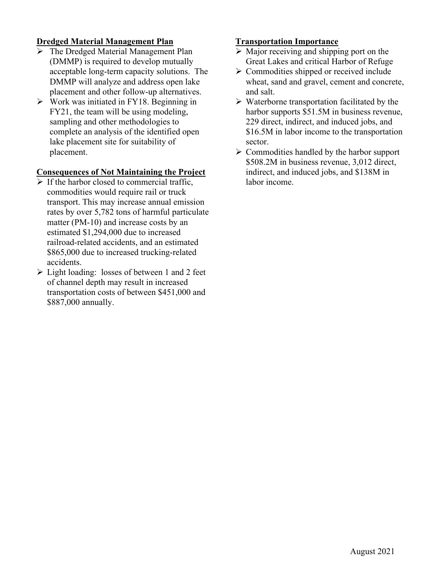## **Dredged Material Management Plan**

- > The Dredged Material Management Plan (DMMP) is required to develop mutually acceptable long-term capacity solutions. The DMMP will analyze and address open lake placement and other follow-up alternatives.
- $\triangleright$  Work was initiated in FY18. Beginning in FY21, the team will be using modeling, sampling and other methodologies to complete an analysis of the identified open lake placement site for suitability of placement.

#### **Consequences of Not Maintaining the Project**

- $\triangleright$  If the harbor closed to commercial traffic. commodities would require rail or truck transport. This may increase annual emission rates by over 5,782 tons of harmful particulate matter (PM-10) and increase costs by an estimated \$1,294,000 due to increased railroad-related accidents, and an estimated \$865,000 due to increased trucking-related accidents.
- $\triangleright$  Light loading: losses of between 1 and 2 feet of channel depth may result in increased transportation costs of between \$451,000 and \$887,000 annually.

#### **Transportation Importance**

- $\triangleright$  Major receiving and shipping port on the Great Lakes and critical Harbor of Refuge
- $\triangleright$  Commodities shipped or received include wheat, sand and gravel, cement and concrete, and salt.
- $\triangleright$  Waterborne transportation facilitated by the harbor supports \$51.5M in business revenue, 229 direct, indirect, and induced jobs, and \$16.5M in labor income to the transportation sector.
- $\triangleright$  Commodities handled by the harbor support \$508.2M in business revenue, 3,012 direct, indirect, and induced jobs, and \$138M in labor income.